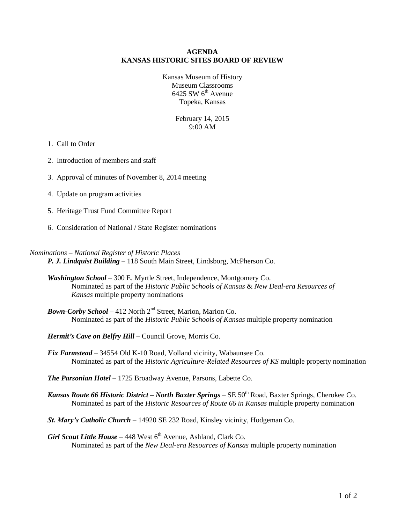#### **AGENDA KANSAS HISTORIC SITES BOARD OF REVIEW**

Kansas Museum of History Museum Classrooms  $6425$  SW  $6<sup>th</sup>$  Avenue Topeka, Kansas

> February 14, 2015 9:00 AM

#### 1. Call to Order

- 2. Introduction of members and staff
- 3. Approval of minutes of November 8, 2014 meeting
- 4. Update on program activities
- 5. Heritage Trust Fund Committee Report
- 6. Consideration of National / State Register nominations

#### *Nominations – National Register of Historic Places*

*P. J. Lindquist Building* – 118 South Main Street, Lindsborg, McPherson Co.

- *Washington School*  300 E. Myrtle Street, Independence, Montgomery Co. Nominated as part of the *Historic Public Schools of Kansas* & *New Deal-era Resources of Kansas* multiple property nominations
- *Bown-Corby School* 412 North  $2<sup>nd</sup>$  Street, Marion, Marion Co. Nominated as part of the *Historic Public Schools of Kansas* multiple property nomination

*Hermit's Cave on Belfry Hill –* Council Grove, Morris Co.

*Fix Farmstead* – 34554 Old K-10 Road, Volland vicinity, Wabaunsee Co. Nominated as part of the *Historic Agriculture-Related Resources of KS* multiple property nomination

*The Parsonian Hotel –* 1725 Broadway Avenue, Parsons, Labette Co.

- *Kansas Route 66 Historic District North Baxter Springs SE* 50<sup>th</sup> Road, Baxter Springs, Cherokee Co. Nominated as part of the *Historic Resources of Route 66 in Kansas* multiple property nomination
- *St. Mary's Catholic Church* 14920 SE 232 Road, Kinsley vicinity, Hodgeman Co.

*Girl Scout Little House* – 448 West  $6<sup>th</sup>$  Avenue, Ashland, Clark Co. Nominated as part of the *New Deal-era Resources of Kansas* multiple property nomination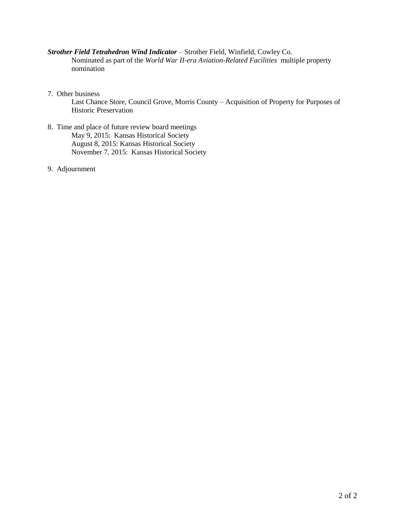## *Strother Field Tetrahedron Wind Indicator* – Strother Field, Winfield, Cowley Co.

Nominated as part of the *World War II-era Aviation-Related Facilities* multiple property nomination

7. Other business

Last Chance Store, Council Grove, Morris County – Acquisition of Property for Purposes of Historic Preservation

- 8. Time and place of future review board meetings May 9, 2015: Kansas Historical Society August 8, 2015: Kansas Historical Society November 7, 2015: Kansas Historical Society
- 9. Adjournment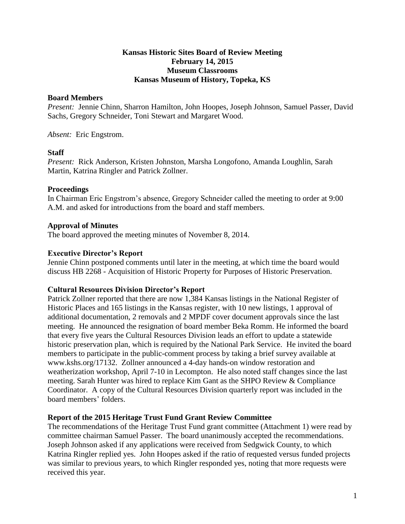### **Kansas Historic Sites Board of Review Meeting February 14, 2015 Museum Classrooms Kansas Museum of History, Topeka, KS**

### **Board Members**

*Present:* Jennie Chinn, Sharron Hamilton, John Hoopes, Joseph Johnson, Samuel Passer, David Sachs, Gregory Schneider, Toni Stewart and Margaret Wood.

*Absent:* Eric Engstrom.

# **Staff**

*Present:* Rick Anderson, Kristen Johnston, Marsha Longofono, Amanda Loughlin, Sarah Martin, Katrina Ringler and Patrick Zollner.

## **Proceedings**

In Chairman Eric Engstrom's absence, Gregory Schneider called the meeting to order at 9:00 A.M. and asked for introductions from the board and staff members.

# **Approval of Minutes**

The board approved the meeting minutes of November 8, 2014.

# **Executive Director's Report**

Jennie Chinn postponed comments until later in the meeting, at which time the board would discuss HB 2268 - Acquisition of Historic Property for Purposes of Historic Preservation.

### **Cultural Resources Division Director's Report**

Patrick Zollner reported that there are now 1,384 Kansas listings in the National Register of Historic Places and 165 listings in the Kansas register, with 10 new listings, 1 approval of additional documentation, 2 removals and 2 MPDF cover document approvals since the last meeting. He announced the resignation of board member Beka Romm. He informed the board that every five years the Cultural Resources Division leads an effort to update a statewide historic preservation plan, which is required by the National Park Service. He invited the board members to participate in the public-comment process by taking a brief survey available at www.kshs.org/17132. Zollner announced a 4-day hands-on window restoration and weatherization workshop, April 7-10 in Lecompton. He also noted staff changes since the last meeting. Sarah Hunter was hired to replace Kim Gant as the SHPO Review & Compliance Coordinator. A copy of the Cultural Resources Division quarterly report was included in the board members' folders.

### **Report of the 2015 Heritage Trust Fund Grant Review Committee**

The recommendations of the Heritage Trust Fund grant committee (Attachment 1) were read by committee chairman Samuel Passer. The board unanimously accepted the recommendations. Joseph Johnson asked if any applications were received from Sedgwick County, to which Katrina Ringler replied yes. John Hoopes asked if the ratio of requested versus funded projects was similar to previous years, to which Ringler responded yes, noting that more requests were received this year.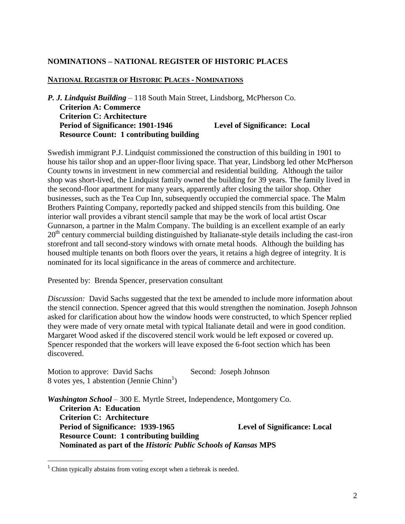# **NOMINATIONS – NATIONAL REGISTER OF HISTORIC PLACES**

### **NATIONAL REGISTER OF HISTORIC PLACES - NOMINATIONS**

*P. J. Lindquist Building* – 118 South Main Street, Lindsborg, McPherson Co. **Criterion A: Commerce Criterion C: Architecture Period of Significance: 1901-1946 Level of Significance: Local Resource Count: 1 contributing building**

Swedish immigrant P.J. Lindquist commissioned the construction of this building in 1901 to house his tailor shop and an upper-floor living space. That year, Lindsborg led other McPherson County towns in investment in new commercial and residential building. Although the tailor shop was short-lived, the Lindquist family owned the building for 39 years. The family lived in the second-floor apartment for many years, apparently after closing the tailor shop. Other businesses, such as the Tea Cup Inn, subsequently occupied the commercial space. The Malm Brothers Painting Company, reportedly packed and shipped stencils from this building. One interior wall provides a vibrant stencil sample that may be the work of local artist Oscar Gunnarson, a partner in the Malm Company. The building is an excellent example of an early 20<sup>th</sup> century commercial building distinguished by Italianate-style details including the cast-iron storefront and tall second-story windows with ornate metal hoods. Although the building has housed multiple tenants on both floors over the years, it retains a high degree of integrity. It is nominated for its local significance in the areas of commerce and architecture.

Presented by: Brenda Spencer, preservation consultant

*Discussion:* David Sachs suggested that the text be amended to include more information about the stencil connection. Spencer agreed that this would strengthen the nomination. Joseph Johnson asked for clarification about how the window hoods were constructed, to which Spencer replied they were made of very ornate metal with typical Italianate detail and were in good condition. Margaret Wood asked if the discovered stencil work would be left exposed or covered up. Spencer responded that the workers will leave exposed the 6-foot section which has been discovered.

Motion to approve: David Sachs Second: Joseph Johnson  $8$  votes yes, 1 abstention (Jennie Chinn<sup>1</sup>)

*Washington School* – 300 E. Myrtle Street, Independence, Montgomery Co. **Criterion A: Education Criterion C: Architecture Period of Significance: 1939-1965 Level of Significance: Local Resource Count: 1 contributing building Nominated as part of the** *Historic Public Schools of Kansas* **MPS**

 $\overline{a}$ 

 $1$  Chinn typically abstains from voting except when a tiebreak is needed.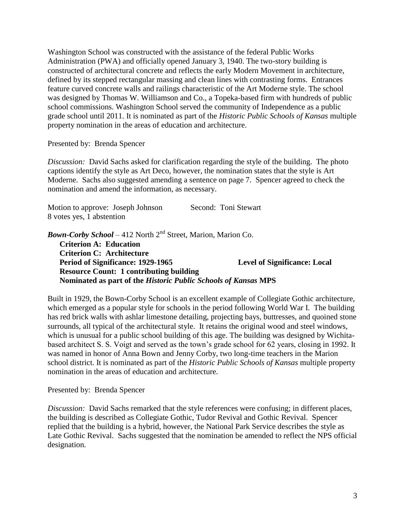Washington School was constructed with the assistance of the federal Public Works Administration (PWA) and officially opened January 3, 1940. The two-story building is constructed of architectural concrete and reflects the early Modern Movement in architecture, defined by its stepped rectangular massing and clean lines with contrasting forms. Entrances feature curved concrete walls and railings characteristic of the Art Moderne style. The school was designed by Thomas W. Williamson and Co., a Topeka-based firm with hundreds of public school commissions. Washington School served the community of Independence as a public grade school until 2011. It is nominated as part of the *Historic Public Schools of Kansas* multiple property nomination in the areas of education and architecture.

Presented by: Brenda Spencer

*Discussion:* David Sachs asked for clarification regarding the style of the building. The photo captions identify the style as Art Deco, however, the nomination states that the style is Art Moderne. Sachs also suggested amending a sentence on page 7. Spencer agreed to check the nomination and amend the information, as necessary.

| Motion to approve: Joseph Johnson | Second: Toni Stewart |
|-----------------------------------|----------------------|
| 8 votes yes, 1 abstention         |                      |

*Bown-Corby School* – 412 North 2<sup>nd</sup> Street, Marion, Marion Co. **Criterion A: Education Criterion C: Architecture Period of Significance: 1929-1965 Level of Significance: Local Resource Count: 1 contributing building Nominated as part of the** *Historic Public Schools of Kansas* **MPS**

Built in 1929, the Bown-Corby School is an excellent example of Collegiate Gothic architecture, which emerged as a popular style for schools in the period following World War I. The building has red brick walls with ashlar limestone detailing, projecting bays, buttresses, and quoined stone surrounds, all typical of the architectural style. It retains the original wood and steel windows, which is unusual for a public school building of this age. The building was designed by Wichitabased architect S. S. Voigt and served as the town's grade school for 62 years, closing in 1992. It was named in honor of Anna Bown and Jenny Corby, two long-time teachers in the Marion school district. It is nominated as part of the *Historic Public Schools of Kansas* multiple property nomination in the areas of education and architecture.

Presented by: Brenda Spencer

*Discussion:* David Sachs remarked that the style references were confusing; in different places, the building is described as Collegiate Gothic, Tudor Revival and Gothic Revival. Spencer replied that the building is a hybrid, however, the National Park Service describes the style as Late Gothic Revival. Sachs suggested that the nomination be amended to reflect the NPS official designation.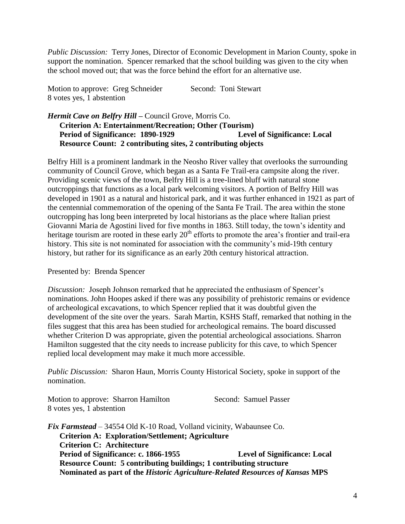*Public Discussion:* Terry Jones, Director of Economic Development in Marion County, spoke in support the nomination. Spencer remarked that the school building was given to the city when the school moved out; that was the force behind the effort for an alternative use.

Motion to approve: Greg Schneider Second: Toni Stewart 8 votes yes, 1 abstention

# *Hermit Cave on Belfry Hill –* Council Grove, Morris Co. **Criterion A: Entertainment/Recreation; Other (Tourism) Period of Significance: 1890-1929 Level of Significance: Local Resource Count: 2 contributing sites, 2 contributing objects**

Belfry Hill is a prominent landmark in the Neosho River valley that overlooks the surrounding community of Council Grove, which began as a Santa Fe Trail-era campsite along the river. Providing scenic views of the town, Belfry Hill is a tree-lined bluff with natural stone outcroppings that functions as a local park welcoming visitors. A portion of Belfry Hill was developed in 1901 as a natural and historical park, and it was further enhanced in 1921 as part of the centennial commemoration of the opening of the Santa Fe Trail. The area within the stone outcropping has long been interpreted by local historians as the place where Italian priest Giovanni Maria de Agostini lived for five months in 1863. Still today, the town's identity and heritage tourism are rooted in these early  $20<sup>th</sup>$  efforts to promote the area's frontier and trail-era history. This site is not nominated for association with the community's mid-19th century history, but rather for its significance as an early 20th century historical attraction.

# Presented by: Brenda Spencer

*Discussion:* Joseph Johnson remarked that he appreciated the enthusiasm of Spencer's nominations. John Hoopes asked if there was any possibility of prehistoric remains or evidence of archeological excavations, to which Spencer replied that it was doubtful given the development of the site over the years. Sarah Martin, KSHS Staff, remarked that nothing in the files suggest that this area has been studied for archeological remains. The board discussed whether Criterion D was appropriate, given the potential archeological associations. Sharron Hamilton suggested that the city needs to increase publicity for this cave, to which Spencer replied local development may make it much more accessible.

*Public Discussion:* Sharon Haun, Morris County Historical Society, spoke in support of the nomination.

Motion to approve: Sharron Hamilton Second: Samuel Passer 8 votes yes, 1 abstention

*Fix Farmstead* – 34554 Old K-10 Road, Volland vicinity, Wabaunsee Co. **Criterion A: Exploration/Settlement; Agriculture Criterion C: Architecture Period of Significance: c. 1866-1955 Level of Significance: Local Resource Count: 5 contributing buildings; 1 contributing structure Nominated as part of the** *Historic Agriculture-Related Resources of Kansas* **MPS**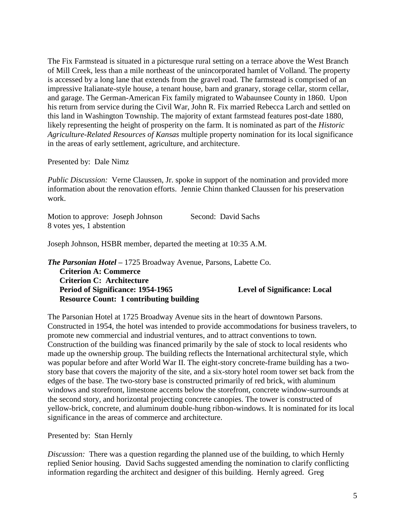The Fix Farmstead is situated in a picturesque rural setting on a terrace above the West Branch of Mill Creek, less than a mile northeast of the unincorporated hamlet of Volland. The property is accessed by a long lane that extends from the gravel road. The farmstead is comprised of an impressive Italianate-style house, a tenant house, barn and granary, storage cellar, storm cellar, and garage. The German-American Fix family migrated to Wabaunsee County in 1860. Upon his return from service during the Civil War, John R. Fix married Rebecca Larch and settled on this land in Washington Township. The majority of extant farmstead features post-date 1880, likely representing the height of prosperity on the farm. It is nominated as part of the *Historic Agriculture-Related Resources of Kansas* multiple property nomination for its local significance in the areas of early settlement, agriculture, and architecture.

Presented by: Dale Nimz

*Public Discussion:* Verne Claussen, Jr. spoke in support of the nomination and provided more information about the renovation efforts. Jennie Chinn thanked Claussen for his preservation work.

| Motion to approve: Joseph Johnson | Second: David Sachs |
|-----------------------------------|---------------------|
| 8 votes yes, 1 abstention         |                     |

Joseph Johnson, HSBR member, departed the meeting at 10:35 A.M.

*The Parsonian Hotel –* 1725 Broadway Avenue, Parsons, Labette Co.

**Criterion A: Commerce Criterion C: Architecture Period of Significance: 1954-1965 Level of Significance: Local Resource Count: 1 contributing building**

The Parsonian Hotel at 1725 Broadway Avenue sits in the heart of downtown Parsons. Constructed in 1954, the hotel was intended to provide accommodations for business travelers, to promote new commercial and industrial ventures, and to attract conventions to town. Construction of the building was financed primarily by the sale of stock to local residents who made up the ownership group. The building reflects the International architectural style, which was popular before and after World War II. The eight-story concrete-frame building has a twostory base that covers the majority of the site, and a six-story hotel room tower set back from the edges of the base. The two-story base is constructed primarily of red brick, with aluminum windows and storefront, limestone accents below the storefront, concrete window-surrounds at the second story, and horizontal projecting concrete canopies. The tower is constructed of yellow-brick, concrete, and aluminum double-hung ribbon-windows. It is nominated for its local significance in the areas of commerce and architecture.

Presented by: Stan Hernly

*Discussion:* There was a question regarding the planned use of the building, to which Hernly replied Senior housing. David Sachs suggested amending the nomination to clarify conflicting information regarding the architect and designer of this building. Hernly agreed. Greg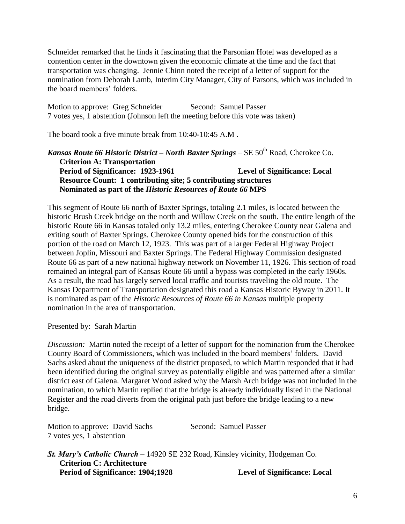Schneider remarked that he finds it fascinating that the Parsonian Hotel was developed as a contention center in the downtown given the economic climate at the time and the fact that transportation was changing. Jennie Chinn noted the receipt of a letter of support for the nomination from Deborah Lamb, Interim City Manager, City of Parsons, which was included in the board members' folders.

Motion to approve: Greg Schneider Second: Samuel Passer 7 votes yes, 1 abstention (Johnson left the meeting before this vote was taken)

The board took a five minute break from 10:40-10:45 A.M .

*Kansas Route 66 Historic District – North Baxter Springs – SE 50<sup>th</sup> Road, Cherokee Co.* **Criterion A: Transportation Period of Significance: 1923-1961 Level of Significance: Local Resource Count: 1 contributing site; 5 contributing structures Nominated as part of the** *Historic Resources of Route 66* **MPS**

This segment of Route 66 north of Baxter Springs, totaling 2.1 miles, is located between the historic Brush Creek bridge on the north and Willow Creek on the south. The entire length of the historic Route 66 in Kansas totaled only 13.2 miles, entering Cherokee County near Galena and exiting south of Baxter Springs. Cherokee County opened bids for the construction of this portion of the road on March 12, 1923. This was part of a larger Federal Highway Project between Joplin, Missouri and Baxter Springs. The Federal Highway Commission designated Route 66 as part of a new national highway network on November 11, 1926. This section of road remained an integral part of Kansas Route 66 until a bypass was completed in the early 1960s. As a result, the road has largely served local traffic and tourists traveling the old route. The Kansas Department of Transportation designated this road a Kansas Historic Byway in 2011. It is nominated as part of the *Historic Resources of Route 66 in Kansas* multiple property nomination in the area of transportation.

Presented by: Sarah Martin

*Discussion:* Martin noted the receipt of a letter of support for the nomination from the Cherokee County Board of Commissioners, which was included in the board members' folders. David Sachs asked about the uniqueness of the district proposed, to which Martin responded that it had been identified during the original survey as potentially eligible and was patterned after a similar district east of Galena. Margaret Wood asked why the Marsh Arch bridge was not included in the nomination, to which Martin replied that the bridge is already individually listed in the National Register and the road diverts from the original path just before the bridge leading to a new bridge.

| Motion to approve: David Sachs | Second: Samuel Passer |
|--------------------------------|-----------------------|
| 7 votes yes, 1 abstention      |                       |

*St. Mary's Catholic Church* – 14920 SE 232 Road, Kinsley vicinity, Hodgeman Co. **Criterion C: Architecture Period of Significance: 1904;1928 Level of Significance: Local**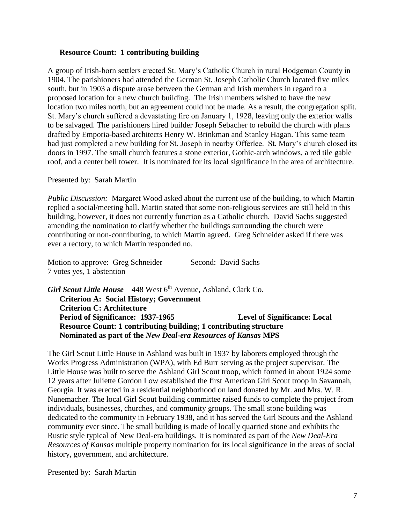### **Resource Count: 1 contributing building**

A group of Irish-born settlers erected St. Mary's Catholic Church in rural Hodgeman County in 1904. The parishioners had attended the German St. Joseph Catholic Church located five miles south, but in 1903 a dispute arose between the German and Irish members in regard to a proposed location for a new church building. The Irish members wished to have the new location two miles north, but an agreement could not be made. As a result, the congregation split. St. Mary's church suffered a devastating fire on January 1, 1928, leaving only the exterior walls to be salvaged. The parishioners hired builder Joseph Sebacher to rebuild the church with plans drafted by Emporia-based architects Henry W. Brinkman and Stanley Hagan. This same team had just completed a new building for St. Joseph in nearby Offerlee. St. Mary's church closed its doors in 1997. The small church features a stone exterior, Gothic-arch windows, a red tile gable roof, and a center bell tower. It is nominated for its local significance in the area of architecture.

Presented by: Sarah Martin

*Public Discussion:* Margaret Wood asked about the current use of the building, to which Martin replied a social/meeting hall. Martin stated that some non-religious services are still held in this building, however, it does not currently function as a Catholic church. David Sachs suggested amending the nomination to clarify whether the buildings surrounding the church were contributing or non-contributing, to which Martin agreed. Greg Schneider asked if there was ever a rectory, to which Martin responded no.

Motion to approve: Greg Schneider Second: David Sachs 7 votes yes, 1 abstention

**Girl Scout Little House** – 448 West 6<sup>th</sup> Avenue, Ashland, Clark Co. **Criterion A: Social History; Government Criterion C: Architecture Period of Significance: 1937-1965 Level of Significance: Local Resource Count: 1 contributing building; 1 contributing structure Nominated as part of the** *New Deal-era Resources of Kansas* **MPS**

The Girl Scout Little House in Ashland was built in 1937 by laborers employed through the Works Progress Administration (WPA), with Ed Burr serving as the project supervisor. The Little House was built to serve the Ashland Girl Scout troop, which formed in about 1924 some 12 years after Juliette Gordon Low established the first American Girl Scout troop in Savannah, Georgia. It was erected in a residential neighborhood on land donated by Mr. and Mrs. W. R. Nunemacher. The local Girl Scout building committee raised funds to complete the project from individuals, businesses, churches, and community groups. The small stone building was dedicated to the community in February 1938, and it has served the Girl Scouts and the Ashland community ever since. The small building is made of locally quarried stone and exhibits the Rustic style typical of New Deal-era buildings. It is nominated as part of the *New Deal-Era Resources of Kansas* multiple property nomination for its local significance in the areas of social history, government, and architecture.

Presented by: Sarah Martin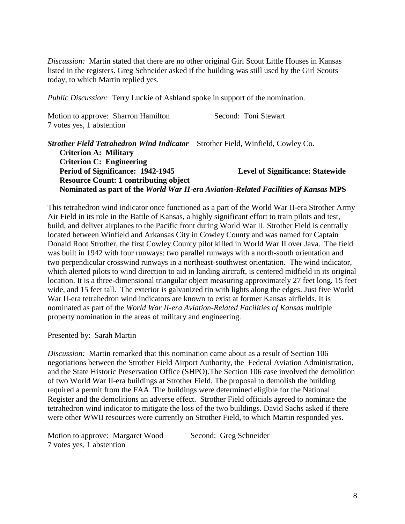*Discussion:* Martin stated that there are no other original Girl Scout Little Houses in Kansas listed in the registers. Greg Schneider asked if the building was still used by the Girl Scouts today, to which Martin replied yes.

*Public Discussion:* Terry Luckie of Ashland spoke in support of the nomination.

| Motion to approve: Sharron Hamilton | Second: Toni Stewart |
|-------------------------------------|----------------------|
| 7 votes yes, 1 abstention           |                      |

*Strother Field Tetrahedron Wind Indicator* – Strother Field, Winfield, Cowley Co. **Criterion A: Military Criterion C: Engineering Period of Significance: 1942-1945 Level of Significance: Statewide Resource Count: 1 contributing object Nominated as part of the** *World War II-era Aviation-Related Facilities of Kansas* **MPS**

This tetrahedron wind indicator once functioned as a part of the World War II-era Strother Army Air Field in its role in the Battle of Kansas, a highly significant effort to train pilots and test, build, and deliver airplanes to the Pacific front during World War II. Strother Field is centrally located between Winfield and Arkansas City in Cowley County and was named for Captain Donald Root Strother, the first Cowley County pilot killed in World War II over Java. The field was built in 1942 with four runways: two parallel runways with a north-south orientation and two perpendicular crosswind runways in a northeast-southwest orientation. The wind indicator, which alerted pilots to wind direction to aid in landing aircraft, is centered midfield in its original location. It is a three-dimensional triangular object measuring approximately 27 feet long, 15 feet wide, and 15 feet tall. The exterior is galvanized tin with lights along the edges. Just five World War II-era tetrahedron wind indicators are known to exist at former Kansas airfields. It is nominated as part of the *World War II-era Aviation-Related Facilities of Kansas* multiple property nomination in the areas of military and engineering.

Presented by: Sarah Martin

*Discussion:* Martin remarked that this nomination came about as a result of Section 106 negotiations between the Strother Field Airport Authority, the Federal Aviation Administration, and the State Historic Preservation Office (SHPO).The Section 106 case involved the demolition of two World War II-era buildings at Strother Field. The proposal to demolish the building required a permit from the FAA. The buildings were determined eligible for the National Register and the demolitions an adverse effect. Strother Field officials agreed to nominate the tetrahedron wind indicator to mitigate the loss of the two buildings. David Sachs asked if there were other WWII resources were currently on Strother Field, to which Martin responded yes.

Motion to approve: Margaret Wood Second: Greg Schneider 7 votes yes, 1 abstention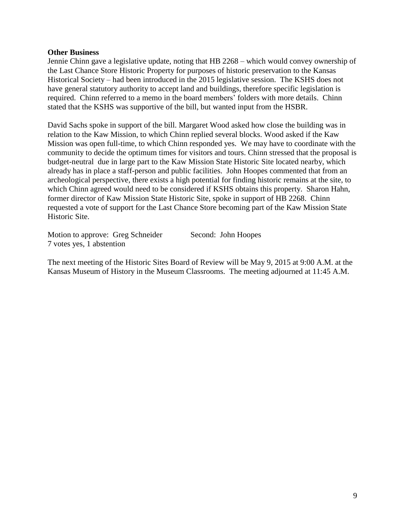#### **Other Business**

Jennie Chinn gave a legislative update, noting that HB 2268 – which would convey ownership of the Last Chance Store Historic Property for purposes of historic preservation to the Kansas Historical Society – had been introduced in the 2015 legislative session. The KSHS does not have general statutory authority to accept land and buildings, therefore specific legislation is required. Chinn referred to a memo in the board members' folders with more details. Chinn stated that the KSHS was supportive of the bill, but wanted input from the HSBR.

David Sachs spoke in support of the bill. Margaret Wood asked how close the building was in relation to the Kaw Mission, to which Chinn replied several blocks. Wood asked if the Kaw Mission was open full-time, to which Chinn responded yes. We may have to coordinate with the community to decide the optimum times for visitors and tours. Chinn stressed that the proposal is budget-neutral due in large part to the Kaw Mission State Historic Site located nearby, which already has in place a staff-person and public facilities. John Hoopes commented that from an archeological perspective, there exists a high potential for finding historic remains at the site, to which Chinn agreed would need to be considered if KSHS obtains this property. Sharon Hahn, former director of Kaw Mission State Historic Site, spoke in support of HB 2268. Chinn requested a vote of support for the Last Chance Store becoming part of the Kaw Mission State Historic Site.

Motion to approve: Greg Schneider Second: John Hoopes 7 votes yes, 1 abstention

The next meeting of the Historic Sites Board of Review will be May 9, 2015 at 9:00 A.M. at the Kansas Museum of History in the Museum Classrooms. The meeting adjourned at 11:45 A.M.